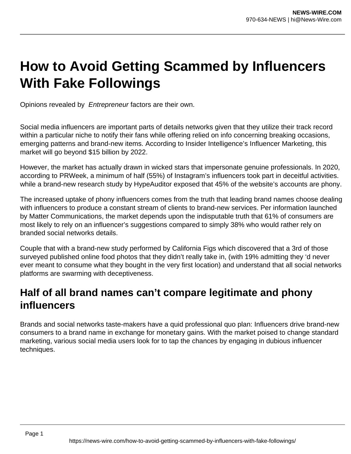# **How to Avoid Getting Scammed by Influencers With Fake Followings**

Opinions revealed by Entrepreneur factors are their own.

Social media influencers are important parts of details networks given that they utilize their track record within a particular niche to notify their fans while offering relied on info concerning breaking occasions, emerging patterns and brand-new items. According to Insider Intelligence's Influencer Marketing, this market will go beyond \$15 billion by 2022.

However, the market has actually drawn in wicked stars that impersonate genuine professionals. In 2020, according to PRWeek, a minimum of half (55%) of Instagram's influencers took part in deceitful activities. while a brand-new research study by HypeAuditor exposed that 45% of the website's accounts are phony.

The increased uptake of phony influencers comes from the truth that leading brand names choose dealing with influencers to produce a constant stream of clients to brand-new services. Per information launched by Matter Communications, the market depends upon the indisputable truth that 61% of consumers are most likely to rely on an influencer's suggestions compared to simply 38% who would rather rely on branded social networks details.

Couple that with a brand-new study performed by California Figs which discovered that a 3rd of those surveyed published online food photos that they didn't really take in, (with 19% admitting they 'd never ever meant to consume what they bought in the very first location) and understand that all social networks platforms are swarming with deceptiveness.

#### **Half of all brand names can't compare legitimate and phony influencers**

Brands and social networks taste-makers have a quid professional quo plan: Influencers drive brand-new consumers to a brand name in exchange for monetary gains. With the market poised to change standard marketing, various social media users look for to tap the chances by engaging in dubious influencer techniques.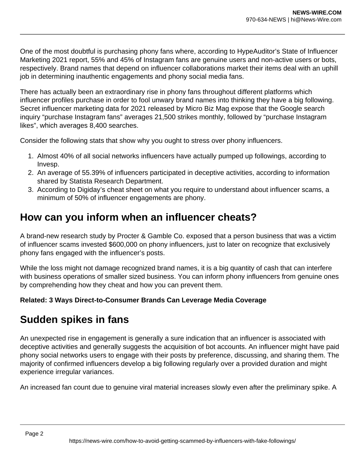One of the most doubtful is purchasing phony fans where, according to HypeAuditor's State of Influencer Marketing 2021 report, 55% and 45% of Instagram fans are genuine users and non-active users or bots, respectively. Brand names that depend on influencer collaborations market their items deal with an uphill job in determining inauthentic engagements and phony social media fans.

There has actually been an extraordinary rise in phony fans throughout different platforms which influencer profiles purchase in order to fool unwary brand names into thinking they have a big following. Secret influencer marketing data for 2021 released by Micro Biz Mag expose that the Google search inquiry "purchase Instagram fans" averages 21,500 strikes monthly, followed by "purchase Instagram likes", which averages 8,400 searches.

Consider the following stats that show why you ought to stress over phony influencers.

- 1. Almost 40% of all social networks influencers have actually pumped up followings, according to Invesp.
- 2. An average of 55.39% of influencers participated in deceptive activities, according to information shared by Statista Research Department.
- 3. According to Digiday's cheat sheet on what you require to understand about influencer scams, a minimum of 50% of influencer engagements are phony.

#### **How can you inform when an influencer cheats?**

A brand-new research study by Procter & Gamble Co. exposed that a person business that was a victim of influencer scams invested \$600,000 on phony influencers, just to later on recognize that exclusively phony fans engaged with the influencer's posts.

While the loss might not damage recognized brand names, it is a big quantity of cash that can interfere with business operations of smaller sized business. You can inform phony influencers from genuine ones by comprehending how they cheat and how you can prevent them.

#### **Related: 3 Ways Direct-to-Consumer Brands Can Leverage Media Coverage**

#### **Sudden spikes in fans**

An unexpected rise in engagement is generally a sure indication that an influencer is associated with deceptive activities and generally suggests the acquisition of bot accounts. An influencer might have paid phony social networks users to engage with their posts by preference, discussing, and sharing them. The majority of confirmed influencers develop a big following regularly over a provided duration and might experience irregular variances.

An increased fan count due to genuine viral material increases slowly even after the preliminary spike. A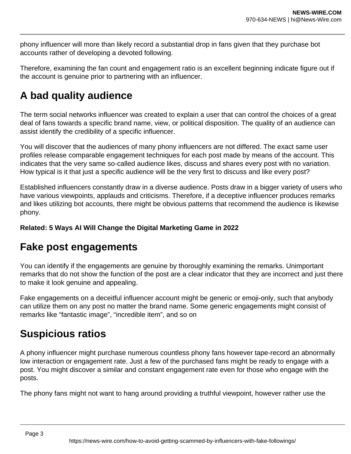phony influencer will more than likely record a substantial drop in fans given that they purchase bot accounts rather of developing a devoted following.

Therefore, examining the fan count and engagement ratio is an excellent beginning indicate figure out if the account is genuine prior to partnering with an influencer.

## **A bad quality audience**

The term social networks influencer was created to explain a user that can control the choices of a great deal of fans towards a specific brand name, view, or political disposition. The quality of an audience can assist identify the credibility of a specific influencer.

You will discover that the audiences of many phony influencers are not differed. The exact same user profiles release comparable engagement techniques for each post made by means of the account. This indicates that the very same so-called audience likes, discuss and shares every post with no variation. How typical is it that just a specific audience will be the very first to discuss and like every post?

Established influencers constantly draw in a diverse audience. Posts draw in a bigger variety of users who have various viewpoints, applauds and criticisms. Therefore, if a deceptive influencer produces remarks and likes utilizing bot accounts, there might be obvious patterns that recommend the audience is likewise phony.

**Related: 5 Ways AI Will Change the Digital Marketing Game in 2022**

#### **Fake post engagements**

You can identify if the engagements are genuine by thoroughly examining the remarks. Unimportant remarks that do not show the function of the post are a clear indicator that they are incorrect and just there to make it look genuine and appealing.

Fake engagements on a deceitful influencer account might be generic or emoji-only, such that anybody can utilize them on any post no matter the brand name. Some generic engagements might consist of remarks like "fantastic image", "incredible item", and so on

## **Suspicious ratios**

A phony influencer might purchase numerous countless phony fans however tape-record an abnormally low interaction or engagement rate. Just a few of the purchased fans might be ready to engage with a post. You might discover a similar and constant engagement rate even for those who engage with the posts.

The phony fans might not want to hang around providing a truthful viewpoint, however rather use the